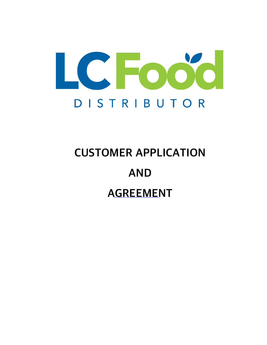

# **CUSTOMER APPLICATION AND AGREEMENT**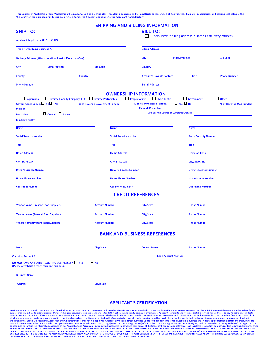This Customer Application (this "Application") is made to LC Food Distributor, Inc., doing business, as LC Food Distributor, and all of its affiliates, divisions, subsidiaries, and assigns (collectively the **"Sellers") for the purpose of inducing Sellers to extend credit accommodations to the Applicant named below:**

|                                                                                                                       |                                                                                                                           |                                | <b>SHIPPING AND BILLING INFORMATION</b>                                                                                                                          |                                                           |                                         |
|-----------------------------------------------------------------------------------------------------------------------|---------------------------------------------------------------------------------------------------------------------------|--------------------------------|------------------------------------------------------------------------------------------------------------------------------------------------------------------|-----------------------------------------------------------|-----------------------------------------|
| <b>SHIP TO:</b>                                                                                                       |                                                                                                                           |                                | <b>BILL TO:</b>                                                                                                                                                  |                                                           |                                         |
| Applicant Legal Name (INC, LLC, LP)                                                                                   |                                                                                                                           |                                |                                                                                                                                                                  | Check here if billing address is same as delivery address |                                         |
| <b>Trade Name/Doing Business As</b>                                                                                   |                                                                                                                           |                                | <b>Billing Address</b>                                                                                                                                           |                                                           |                                         |
| Delivery Address (Attach Location Sheet if More than One)                                                             |                                                                                                                           |                                | <b>City</b>                                                                                                                                                      | <b>State/Province</b>                                     | <b>Zip Code</b>                         |
| <b>City</b><br><b>State/Province</b>                                                                                  | <b>Zip Code</b>                                                                                                           |                                | <b>Country</b>                                                                                                                                                   |                                                           |                                         |
| <b>County</b>                                                                                                         | <b>Country</b>                                                                                                            |                                | <b>Account's Payable Contact</b>                                                                                                                                 | <b>Title</b>                                              | <b>Phone Number</b>                     |
| <b>Phone Number</b>                                                                                                   |                                                                                                                           |                                | <b>E-mail Address</b>                                                                                                                                            |                                                           |                                         |
| Corporation<br>Government Funded? $\neg$ Yes No<br><b>State of</b><br>$\Box$ Owned $\Box$ Leased<br><b>Formation:</b> | Limited Liability Company (LLC) Limited Partnership (LP) Proprietorship<br><b>Example 26 of Revenue Government Funded</b> |                                | <b>OWNERSHIP INFORMATION</b><br>$\Box$ Non-Profit<br><b>Medicaid/Medicare Funded?</b><br><b>Federal ID Number:</b><br>Date Business Opened or Ownership Changed: | Government<br>$\Box$ Yes $\Box$ No                        | $\Box$ Other<br>% of Revenue Med Funded |
| <b>Building/Facility:</b>                                                                                             |                                                                                                                           |                                |                                                                                                                                                                  |                                                           |                                         |
| <b>Name</b>                                                                                                           | <b>Name</b>                                                                                                               |                                |                                                                                                                                                                  | <b>Name</b>                                               |                                         |
| <b>Social Security Number</b>                                                                                         |                                                                                                                           | <b>Social Security Number</b>  |                                                                                                                                                                  | <b>Social Security Number</b>                             |                                         |
| <b>Title</b>                                                                                                          | <b>Title</b>                                                                                                              |                                |                                                                                                                                                                  | <b>Title</b>                                              |                                         |
| <b>Home Address</b>                                                                                                   |                                                                                                                           | <b>Home Address</b>            |                                                                                                                                                                  | <b>Home Address</b>                                       |                                         |
| City, State, Zip                                                                                                      |                                                                                                                           | City, State, Zip               |                                                                                                                                                                  | City, State, Zip                                          |                                         |
| <b>Driver's License Number</b>                                                                                        |                                                                                                                           | <b>Driver's License Number</b> |                                                                                                                                                                  | <b>Driver's License Number</b>                            |                                         |
| <b>Home Phone Number</b>                                                                                              |                                                                                                                           | <b>Home Phone Number:</b>      |                                                                                                                                                                  | <b>Home Phone Number:</b>                                 |                                         |
| <b>Cell Phone Number</b>                                                                                              |                                                                                                                           | <b>Cell Phone Number</b>       |                                                                                                                                                                  | <b>Cell Phone Number</b>                                  |                                         |
|                                                                                                                       |                                                                                                                           | <b>CREDIT REFERENCES</b>       |                                                                                                                                                                  |                                                           |                                         |
| <b>Vendor Name (Present Food Supplier)</b>                                                                            | <b>Account Number</b>                                                                                                     |                                | <b>City/State</b>                                                                                                                                                | <b>Phone Number</b>                                       |                                         |
| <b>Vendor Name (Present Food Supplier)</b>                                                                            | <b>Account Number</b>                                                                                                     |                                | <b>City/State</b>                                                                                                                                                | <b>Phone Number</b>                                       |                                         |
| Vendor Name (Present Food Supplier)                                                                                   | <b>Account Number</b>                                                                                                     |                                | <b>City/State</b>                                                                                                                                                | <b>Phone Number</b>                                       |                                         |
|                                                                                                                       |                                                                                                                           |                                | <b>BANK AND BUSINESS REFERENCES</b>                                                                                                                              |                                                           |                                         |
|                                                                                                                       |                                                                                                                           |                                |                                                                                                                                                                  |                                                           |                                         |

| <b>Bank</b>                                                                                              | City/State        | <b>Contact Name</b>        | <b>Phone Number</b> |  |
|----------------------------------------------------------------------------------------------------------|-------------------|----------------------------|---------------------|--|
| <b>Checking Account #</b>                                                                                |                   | <b>Loan Account Number</b> |                     |  |
| <b>DO YOU HAVE ANY OTHER EXISTING BUSINESSES?</b> Pres<br>(Please attach list if more than one business) | $\blacksquare$ No |                            |                     |  |
| <b>Business Name</b>                                                                                     |                   |                            |                     |  |
| <b>Address</b>                                                                                           | <b>City/State</b> |                            |                     |  |

#### **APPLICANT'S CERTIFICATION**

Applicant hereby certifies that he information furnished under this Application and Agreement and any other financial statements furnished in connection Neuroline hereby certifies that this information. Applicant hereby ce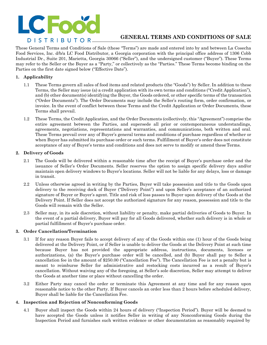

## **GENERAL TERMS AND CONDITIONS OF SALE**

These General Terms and Conditions of Sale (these "Terms") are made and entered into by and between La Cosecha Food Services, Inc. d/b/a LC Food Distributor, a Georgia corporation with the principal office address of 1306 Cobb Industrial Dr., Suite 201, Marietta, Georgia 30066 ("Seller"), and the undersigned customer ("Buyer"). These Terms may refer to the Seller or the Buyer as a "Party," or collectively as the "Parties." These Terms become binding on the Parties on the first date signed below ("Effective Date").

#### **1. Applicability**

- 1.1 These Terms govern all sales of food items and related products (the "Goods") by Seller. In addition to these Terms, the Seller may issue (a) a credit application with its own terms and conditions ("Credit Application"), and (b) other document(s) identifying the Buyer, the Goods ordered, or other specific terms of the transaction ("Order Documents"). The Order Documents may include the Seller's routing form, order confirmation, or invoice. In the event of conflict between these Terms and the Credit Application or Order Documents, these Terms shall prevail.
- 1.2 These Terms, the Credit Application, and the Order Documents (collectively, this "Agreement") comprise the entire agreement between the Parties, and supersede all prior or contemporaneous understandings, agreements, negotiations, representations and warranties, and communications, both written and oral. These Terms prevail over any of Buyer's general terms and conditions of purchase regardless of whether or when Buyer has submitted its purchase order or such terms. Fulfillment of Buyer's order does not constitute acceptance of any of Buyer's terms and conditions and does not serve to modify or amend these Terms.

#### **2. Delivery of Goods**

- 2.1 The Goods will be delivered within a reasonable time after the receipt of Buyer's purchase order and the issuance of Seller's Order Documents. Seller reserves the option to assign specific delivery days and/or maintain open delivery windows to Buyer's locations. Seller will not be liable for any delays, loss or damage in transit.
- 2.2 Unless otherwise agreed in writing by the Parties, Buyer will take possession and title to the Goods upon delivery to the receiving dock of Buyer ("Delivery Point") and upon Seller's acceptance of an authorized signature of Buyer or Buyer's agent. Title and risk of loss passes to Buyer upon delivery of the Goods at the Delivery Point. If Seller does not accept the authorized signature for any reason, possession and title to the Goods will remain with the Seller.
- 2.3 Seller may, in its sole discretion, without liability or penalty, make partial deliveries of Goods to Buyer. In the event of a partial delivery, Buyer will pay for all Goods delivered, whether such delivery is in whole or partial fulfillment of Buyer's purchase order.

#### **3. Order Cancellation/Termination**

- 3.1 If for any reason Buyer fails to accept delivery of any of the Goods within one (1) hour of the Goods being delivered at the Delivery Point, or if Seller is unable to deliver the Goods at the Delivery Point at such time because Buyer has not provided the appropriate address, instructions, documents, licenses or authorizations, (a) the Buyer's purchase order will be cancelled, and (b) Buyer shall pay to Seller a cancellation fee in the amount of \$250.00 ("Cancellation Fee"). The Cancellation Fee is not a penalty but is meant to reimburse Seller for administrative and restocking costs incurred as a result of Buyer's cancellation. Without waiving any of the foregoing, at Seller's sole discretion, Seller may attempt to deliver the Goods at another time or place without cancelling the order.
- 3.2 Either Party may cancel the order or terminate this Agreement at any time and for any reason upon reasonable notice to the other Party. If Buyer cancels an order less than 2 hours before scheduled delivery, Buyer shall be liable for the Cancellation Fee.

#### **4. Inspection and Rejection of Nonconforming Goods**

4.1 Buyer shall inspect the Goods within 24 hours of delivery ("Inspection Period"). Buyer will be deemed to have accepted the Goods unless it notifies Seller in writing of any Nonconforming Goods during the Inspection Period and furnishes such written evidence or other documentation as reasonably required by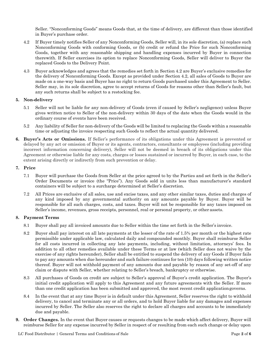Seller. "Nonconforming Goods" means Goods that, at the time of delivery, are different than those identified in Buyer's purchase order.

- <span id="page-3-0"></span>4.2 If Buyer timely notifies Seller of any Nonconforming Goods, Seller will, in its sole discretion, (a) replace such Nonconforming Goods with conforming Goods, or (b) credit or refund the Price for such Nonconforming Goods, together with any reasonable shipping and handling expenses incurred by Buyer in connection therewith. If Seller exercises its option to replace Nonconforming Goods, Seller will deliver to Buyer the replaced Goods to the Delivery Point.
- 4.3 Buyer acknowledges and agrees that the remedies set forth in Section [4.2](#page-3-0) are Buyer's exclusive remedies for the delivery of Nonconforming Goods. Except as provided under Section [4.2, a](#page-3-0)ll sales of Goods to Buyer are made on a one-way basis and Buyer has no right to return Goods purchased under this Agreement to Seller. Seller may, in its sole discretion, agree to accept returns of Goods for reasons other than Seller's fault, but any such returns shall be subject to a restocking fee.

#### **5. Non-delivery**

- 5.1 Seller will not be liable for any non-delivery of Goods (even if caused by Seller's negligence) unless Buyer gives written notice to Seller of the non-delivery within 30 days of the date when the Goods would in the ordinary course of events have been received.
- 5.2 Any liability of Seller for non-delivery of the Goods will be limited to replacing the Goods within a reasonable time or adjusting the invoice respecting such Goods to reflect the actual quantity delivered.
- **6. Buyer's Acts or Omissions.** If Seller's performance of its obligations under this Agreement is prevented or delayed by any act or omission of Buyer or its agents, contractors, consultants or employees (including providing incorrect information concerning delivery), Seller will not be deemed in breach of its obligations under this Agreement or otherwise liable for any costs, charges or losses sustained or incurred by Buyer, in each case, to the extent arising directly or indirectly from such prevention or delay.

#### **7. Price**

- 7.1 Buyer will purchase the Goods from Seller at the price agreed to by the Parties and set forth in the Seller's Order Documents or invoice (the "Price"). Any Goods sold in units less than manufacturer's standard containers will be subject to a surcharge determined at Seller's discretion.
- 7.2 All Prices are exclusive of all sales, use and excise taxes, and any other similar taxes, duties and charges of any kind imposed by any governmental authority on any amounts payable by Buyer. Buyer will be responsible for all such charges, costs, and taxes. Buyer will not be responsible for any taxes imposed on Seller's income, revenues, gross receipts, personnel, real or personal property, or other assets.

#### **8. Payment Terms**

- 8.1 Buyer shall pay all invoiced amounts due to Seller within the time set forth in the Seller's invoice.
- 8.2 Buyer shall pay interest on all late payments at the lesser of the rate of 1.5% per month or the highest rate permissible under applicable law, calculated daily and compounded monthly. Buyer shall reimburse Seller for all costs incurred in collecting any late payments, including, without limitation, attorneys' fees. In addition to all other remedies available under these Terms or at law (which Seller does not waive by the exercise of any rights hereunder), Seller shall be entitled to suspend the delivery of any Goods if Buyer fails to pay any amounts when due hereunder and such failure continues for ten (10) days following written notice thereof. Buyer will not withhold payment of any amounts due and payable by reason of any set-off of any claim or dispute with Seller, whether relating to Seller's breach, bankruptcy or otherwise.
- 8.3 All purchases of Goods on credit are subject to Seller's approval of Buyer's credit application. The Buyer's initial credit application will apply to this Agreement and any future agreements with the Seller. If more than one credit application has been submitted and approved, the most recent credit applicationgoverns.
- 8.4 In the event that at any time Buyer is in default under this Agreement, Seller reserves the right to withhold delivery, to cancel and terminate any or all orders, and to hold Buyer liable for any damages and expenses incurred by Seller. The Seller also reserves the right to declare all charges and accounts to be immediately due and payable.
- **9. Order Changes.** In the event that Buyer causes or requests changes to be made which affect delivery, Buyer will reimburse Seller for any expense incurred by Seller in respect of or resulting from each such change or delay upon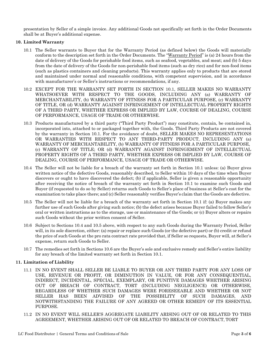presentation by Seller of a simple invoice. Any additional Goods not specifically set forth in the Order Documents shall be at Buyer's additional expense.

#### <span id="page-4-0"></span>**10. Limited Warranty**

- 10.1 The Seller warrants to Buyer that for the Warranty Period (as defined below) the Goods will materially conform to the description set forth in the Order Documents. The "Warranty Period" is (a) 24 hours from the date of delivery of the Goods for perishable food items, such as seafood, vegetables, and meat; and (b) 5 days from the date of delivery of the Goods for non-perishable food items (such as dry rice) and for non-food items (such as plastics containers and cleaning products). This warranty applies only to products that are stored and maintained under normal and reasonable conditions, with competent supervision, and in accordance with manufacturer's or Seller's instructions or recommendations, if any.
- 10.2 EXCEPT FOR THE WARRANTY SET FORTH IN SECTION [10.1,](#page-4-0) SELLER MAKES NO WARRANTY WHATSOEVER WITH RESPECT TO THE GOODS, INCLUDING ANY (a) WARRANTY OF MERCHANTABILITY, (b) WARRANTY OF FITNESS FOR A PARTICULAR PURPOSE, (c) WARRANTY OF TITLE, OR (d) WARRANTY AGAINST INFRINGEMENT OF INTELLECTUAL PROPERTY RIGHTS OF A THIRD PARTY, WHETHER EXPRESS OR IMPLIED BY LAW, COURSE OF DEALING, COURSE OF PERFORMANCE, USAGE OF TRADE OR OTHERWISE.
- 10.3 Products manufactured by a third party ("Third Party Product") may constitute, contain, be contained in, incorporated into, attached to or packaged together with, the Goods. Third Party Products are not covered by the warranty in Section [10.1. F](#page-4-0)or the avoidance of doubt, SELLER MAKES NO REPRESENTATIONS OR WARRANTIES WITH RESPECT TO ANY THIRD-PARTY PRODUCT, INCLUDING ANY (a) WARRANTY OF MERCHANTABILITY, (b) WARRANTY OF FITNESS FOR A PARTICULAR PURPOSE, (c) WARRANTY OF TITLE; OR (d) WARRANTY AGAINST INFRINGEMENT OF INTELLECTUAL PROPERTY RIGHTS OF A THIRD PARTY, WHETHER EXPRESS OR IMPLIED BY LAW, COURSE OF DEALING, COURSE OF PERFORMANCE, USAGE OF TRADE OR OTHERWISE.
- <span id="page-4-1"></span>10.4 The Seller will not be liable for a breach of the warranty set forth in Section [10.1 u](#page-4-0)nless: (a) Buyer gives written notice of the defective Goods, reasonably described, to Seller within 10 days of the time when Buyer discovers or ought to have discovered the defect; (b) if applicable, Seller is given a reasonable opportunity after receiving the notice of breach of the warranty set forth in Section [10.1 t](#page-4-0)o examine such Goods and Buyer (if requested to do so by Seller) returns such Goods to Seller's place of business at Seller's cost for the examination to take place there; and (c) Seller reasonably verifies Buyer's claim that the Goods are defective.
- <span id="page-4-2"></span>10.5 The Seller will not be liable for a breach of the warranty set forth in Section [10.1 i](#page-4-0)f: (a) Buyer makes any further use of such Goods after giving such notice; (b) the defect arises because Buyer failed to follow Seller's oral or written instructions as to the storage, use or maintenance of the Goods; or (c) Buyer alters or repairs such Goods without the prior written consent of Seller.
- <span id="page-4-3"></span>10.6 Subject to Sections [10.4 a](#page-4-1)nd [10.5 a](#page-4-2)bove, with respect to any such Goods during the Warranty Period, Seller will, in its sole discretion, either: (a) repair or replace such Goods (or the defective part) or (b) credit or refund the price of such Goods at the pro rata contract rate provided that, if Seller so requests, Buyer will, at Seller's expense, return such Goods to Seller.
- 10.7 The remedies set forth in Sections [10.6](#page-4-3) are the Buyer's sole and exclusive remedy and Seller's entire liability for any breach of the limited warranty set forth in Section [10.1.](#page-4-0)

#### **11. Limitation of Liability**

- 11.1 IN NO EVENT SHALL SELLER BE LIABLE TO BUYER OR ANY THIRD PARTY FOR ANY LOSS OF USE, REVENUE OR PROFIT, OR DIMINUTION IN VALUE, OR FOR ANY CONSEQUENTIAL, INDIRECT, INCIDENTAL, SPECIAL, EXEMPLARY, OR PUNITIVE DAMAGES WHETHER ARISING OUT OF BREACH OF CONTRACT, TORT (INCLUDING NEGLIGENCE) OR OTHERWISE, REGARDLESS OF WHETHER SUCH DAMAGES WERE FORESEEABLE AND WHETHER OR NOT SELLER HAS BEEN ADVISED OF THE POSSIBILITY OF SUCH DAMAGES, AND NOTWITHSTANDING THE FAILURE OF ANY AGREED OR OTHER REMEDY OF ITS ESSENTIAL PURPOSE.
- 11.2 IN NO EVENT WILL SELLER'S AGGREGATE LIABILITY ARISING OUT OF OR RELATED TO THIS AGREEMENT, WHETHER ARISING OUT OF OR RELATED TO BREACH OF CONTRACT, TORT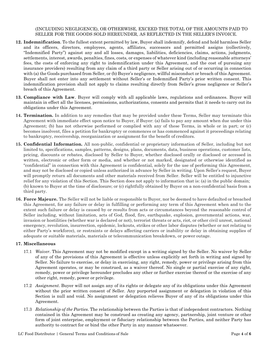#### (INCLUDING NEGLIGENCE), OR OTHERWISE, EXCEED THE TOTAL OF THE AMOUNTS PAID TO SELLER FOR THE GOODS SOLD HEREUNDER, AS REFLECTED IN THE SELLER'S INVOICE.

- **12. Indemnification**. To the fullest extent permitted by law, Buyer shall indemnify, defend and hold harmless Seller and its officers, directors, employees, agents, affiliates, successors and permitted assigns (collectively, "Indemnified Party") against any and all losses, damages, liabilities, deficiencies, claims, actions, judgments, settlements, interest, awards, penalties, fines, costs, or expenses of whatever kind (including reasonable attorneys' fees, the costs of enforcing any right to indemnification under this Agreement, and the cost of pursuing any insurance providers) resulting from any claim of a third party or Seller arising out of or occurring in connection with (a) the Goods purchased from Seller, or (b) Buyer's negligence, willful misconduct or breach of this Agreement. Buyer shall not enter into any settlement without Seller's or Indemnified Party's prior written consent. This indemnification provision shall not apply to claims resulting directly from Seller's gross negligence or Seller's breach of this Agreement.
- **13. Compliance with Law**. Buyer will comply with all applicable laws, regulations and ordinances. Buyer will maintain in effect all the licenses, permissions, authorizations, consents and permits that it needs to carry out its obligations under this Agreement.
- **14. Termination.** In addition to any remedies that may be provided under these Terms, Seller may terminate this Agreement with immediate effect upon notice to Buyer, if Buyer: (a) fails to pay any amount when due under this Agreement; (b) has not otherwise performed or complied with any of these Terms, in whole or in part; or (c) becomes insolvent, files a petition for bankruptcy or commences or has commenced against it proceedings relating to bankruptcy, receivership, reorganization or assignment for the benefit of creditors.
- **15. Confidential Information.** All non-public, confidential or proprietary information of Seller, including but not limited to, specifications, samples, patterns, designs, plans, documents, data, business operations, customer lists, pricing, discounts or rebates, disclosed by Seller to Buyer, whether disclosed orally or disclosed or accessed in written, electronic or other form or media, and whether or not marked, designated or otherwise identified as "confidential" in connection with this Agreement is confidential, solely for the use of performing this Agreement, and may not be disclosed or copied unless authorized in advance by Seller in writing. Upon Seller's request, Buyer will promptly return all documents and other materials received from Seller. Seller will be entitled to injunctive relief for any violation of this Section. This Section does not apply to information that is: (a) in the public domain; (b) known to Buyer at the time of disclosure; or (c) rightfully obtained by Buyer on a non-confidential basis from a third party.
- **16. Force Majeure.** The Seller will not be liable or responsible to Buyer, nor be deemed to have defaulted or breached this Agreement, for any failure or delay in fulfilling or performing any term of this Agreement when and to the extent such failure or delay is caused by or results from acts or circumstances beyond the reasonable control of Seller including, without limitation, acts of God, flood, fire, earthquake, explosion, governmental actions, war, invasion or hostilities (whether war is declared or not), terrorist threats or acts, riot, or other civil unrest, national emergency, revolution, insurrection, epidemic, lockouts, strikes or other labor disputes (whether or not relating to either Party's workforce), or restraints or delays affecting carriers or inability or delay in obtaining supplies of adequate or suitable materials, materials or telecommunication breakdown, or power outage.

#### **17. Miscellaneous**

- 17.1 *Waiver*. This Agreement may not be modified except in a writing signed by the Seller. No waiver by Seller of any of the provisions of this Agreement is effective unless explicitly set forth in writing and signed by Seller. No failure to exercise, or delay in exercising, any right, remedy, power or privilege arising from this Agreement operates, or may be construed, as a waiver thereof. No single or partial exercise of any right, remedy, power or privilege hereunder precludes any other or further exercise thereof or the exercise of any other right, remedy, power or privilege.
- 17.2 *Assignment*. Buyer will not assign any of its rights or delegate any of its obligations under this Agreement without the prior written consent of Seller. Any purported assignment or delegation in violation of this Section is null and void. No assignment or delegation relieves Buyer of any of its obligations under this Agreement.
- 17.3 *Relationship of the Parties*. The relationship between the Parties is that of independent contractors. Nothing contained in this Agreement may be construed as creating any agency, partnership, joint venture or other form of joint enterprise, employment or fiduciary relationship between the Parties, and neither Party has authority to contract for or bind the other Party in any manner whatsoever.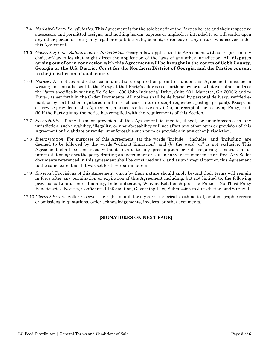- 17.4 *No Third-Party Beneficiaries*. This Agreement is for the sole benefit of the Parties hereto and their respective successors and permitted assigns, and nothing herein, express or implied, is intended to or will confer upon any other person or entity any legal or equitable right, benefit, or remedy of any nature whatsoever under this Agreement.
- **17.5** *Governing Law; Submission to Jurisdiction*. Georgia law applies to this Agreement without regard to any choice-of-law rules that might direct the application of the laws of any other jurisdiction. **All disputes arising out of or in connection with this Agreement will be brought in the courts of Cobb County, Georgia or the U.S. District Court for the Northern District of Georgia, and the Parties consent to the jurisdiction of such courts.**
- 17.6 *Notices*. All notices and other communications required or permitted under this Agreement must be in writing and must be sent to the Party at that Party's address set forth below or at whatever other address the Party specifies in writing. To Seller: 1306 Cobb Industrial Drive, Suite 201, Marietta, GA 30066; and to Buyer, as set forth in the Order Documents. All notices shall be delivered by personal delivery, verified email, or by certified or registered mail (in each case, return receipt requested, postage prepaid). Except as otherwise provided in this Agreement, a notice is effective only (a) upon receipt of the receiving Party, and (b) if the Party giving the notice has complied with the requirements of this Section.
- 17.7 *Severability*. If any term or provision of this Agreement is invalid, illegal, or unenforceable in any jurisdiction, such invalidity, illegality, or unenforceability will not affect any other term or provision of this Agreement or invalidate or render unenforceable such term or provision in any other jurisdiction.
- 17.8 *Interpretation*. For purposes of this Agreement, (a) the words "include," "includes" and "including" are deemed to be followed by the words "without limitation"; and (b) the word "or" is not exclusive. This Agreement shall be construed without regard to any presumption or rule requiring construction or interpretation against the party drafting an instrument or causing any instrument to be drafted. Any Seller documents referenced in this agreement shall be construed with, and as an integral part of, this Agreement to the same extent as if it was set forth verbatim herein.
- 17.9 *Survival*. Provisions of this Agreement which by their nature should apply beyond their terms will remain in force after any termination or expiration of this Agreement including, but not limited to, the following provisions: Limitation of Liability, Indemnification, Waiver, Relationship of the Parties, No Third-Party Beneficiaries, Notices, Confidential Information, Governing Law, Submission to Jurisdiction, and Survival.
- 17.10 *Clerical Errors.* Seller reserves the right to unilaterally correct clerical, arithmetical, or stenographic errors or omissions in quotations, order acknowledgements, invoices, or other documents.

### **[SIGNATURES ON NEXT PAGE]**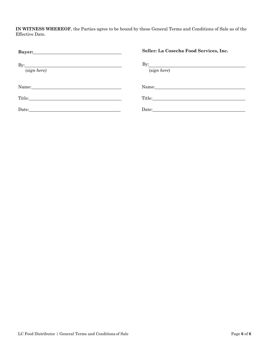**IN WITNESS WHEREOF**, the Parties agree to be bound by these General Terms and Conditions of Sale as of the Effective Date.

|                                                                                                       | Seller: La Cosecha Food Services, Inc.   |
|-------------------------------------------------------------------------------------------------------|------------------------------------------|
| By: $\overline{\phantom{a}}$<br>(sign here)                                                           | $\mathbf{B} \mathbf{y}$ :<br>(sign here) |
| Name: Name:                                                                                           | Name:                                    |
| Title: Title:                                                                                         |                                          |
| ${\it Date:} \begin{tabular}{ l l } \hline \hline \multicolumn{3}{ l }{\textbf{Date:}} \end{tabular}$ |                                          |
|                                                                                                       |                                          |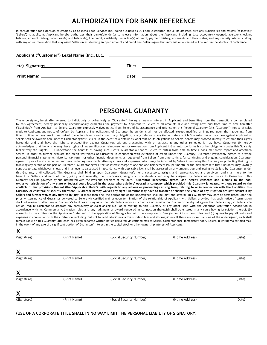## **AUTHORIZATION FOR BANK REFERENCE**

In consideration for extension of credit by La Cosecha Food Services Inc., doing business as LC Food Distributor, and all its affiliates, divisions, subsidiaries and assigns (collectively "Sellers") to applicant. Applicant hereby authorizes their bank(s)/lender(s) to release information about the Applicant, including date accounts(s) opened, average checking balance, account history, open loan(s) and balance(s), line credit, availability under line(s) of credit, payment history, covenants and their status, and any security interests, along with any other information that may assist Sellers in establishing an open account and credit line. Sellers agree that information obtained will be kept in the strictest of confidence.

| Title: |
|--------|
| Date:  |

## **PERSONAL GUARANTY**

The undersigned, hereinafter referred to individually or collectively as "Guarantor", having a financial interest in Applicant, and benefiting from the transactions contemplated by this Agreement, hereby personally unconditionally guaranties the payment by Applicant to Sellers of all amounts due and owing now, and from time to time hereafter ("Liabilities"), from Applicant to Sellers. Guarantor expressly waives notice from Sellers of its acceptance and reliance on this Personal Guaranty (this "Guaranty"), notice of sales made to Applicant, and notice of default by Applicant. The obligations of Guarantor hereunder shall not be affected, except modified or impaired upon the happening, from time to time, of any event. Not set-of f, counter-claim or reduction of any obligation, or any defense of any kind or nature which Guarantor has or may have against Applicant or Sellers shall be available hereunder to Guarantor against Sellers. In the event of a default by Applicant on its obligations to Sellers, Sellers may proceed directly to enforce their rights hereunder and shall have the right to proceed first against Guarantor, without proceeding with or exhausting any other remedies it may have. Guarantor (i) hereby acknowledges that he or she may have rights of indemnification, reimbursement or exoneration from Applicant if Guarantor performs his or her obligations under this Guaranty (collectively the "Rights"); (ii) understand the benefits of having such Rights. Guarantor authorize Sellers to obtain from time to time a consumer credit report and asset/lien search, in order to further evaluate the credit worthiness of Guarantor in connection with extension of credit under this Guaranty, Guarantor irrevocably agrees to provide personal financial statements, historical tax return or other financial documents as requested from Sellers from time to time, for continuing and ongoing consideration. Guarantor agrees to pay all costs, expenses and fees, including reasonable attorneys' fees and expenses, which may be incurred by Sellers in enforcing this Guaranty or protecting their rights following any default on the part of Guarantor. Guarantor agrees that an interest charge of one and one-half percent (%) per month, or the maximum rate that Guarantor may lawfully contract to pay, whichever is less, and in all events calculated in accordance with applicable law, shall be assessed on any amount due and owing to Sellers by Guarantor under this Guaranty until collected. This Guaranty shall binding upon Guarantor, Guarantor's heirs, successors, assigns and representatives and survivors, and shall inure to the benefit of Sellers, and each of them, jointly and severally, their successors, assigns, at shareholders and may be assigned by Sellers without notice to Guarantor. This Guaranty shall be governed by and interpreted with the laws and decisions of the State. Guarantor irrevocably agrees, and hereby consents and submits to the non**exclusive jurisdiction of any state or federal court located in the state where Sellers' operating company which provided this Guaranty is located, without regard to the conflicts of law provisions thereof (the "Applicable State"), with regards to any actions or proceedings arising from, relating to or in connection with the Liabilities, this Guaranty or collateral or security therefore. Guarantor hereby waives any right Guarantor may have to transfer or change the venue of any litigation brought against it by Sellers and further waives any right to by jury.** If more than one, the obligations of the undersigned shall be joint and several, This Guaranty may only be terminated upon the prior written notice of Guarantor delivered to Sellers via certified mail or upon termination of the relationship of Applicant with Sellers provided that such notice of termination shall not release or affect any of Guarantor's liabilities existing as of the date Sellers receive such notice of termination. Guarantor hereby (a) agrees that Sellers may, at Sellers' sole option, require Guarantor to arbitrate any controversy or claim arising out of or relating to this Guaranty or any other issue with the American Arbitration Association in accordance with its Commercial Arbitration rules and any judgment or award rendered in connection therewith shall be entered in any court having jurisdiction thereof, (b) consents to the arbitration the Applicable State, and to the application of Georgia law with the exception of Georgia conflicts of laws rules, and (c) agrees to pay all costs and expenses in connection with the arbitration, including, but not to, arbitrators' fees, administration fees and attorneys' fees, If there are more than one of the undersigned, each shall remain liable on this Guaranty until each has given separate written notice delivered via certified mail to Sellers. Guarantor shall immediately notify Sellers, in writing via certified mail, in the event of any sale of a significant portion of Guarantors' interest in the capital stock or other ownership interest of Applicant.

| $\lambda$   |              |                          |                |        |
|-------------|--------------|--------------------------|----------------|--------|
| (Signature) | (Print Name) | (Social Security Number) | (Home Address) | (Date) |
| X           |              |                          |                |        |
| (Signature) | (Print Name) | (Social Security Number) | (Home Address) | (Date) |
| X           |              |                          |                |        |
| (Signature) | (Print Name) | (Social Security Number) | (Home Address) | (Date) |
| X           |              |                          |                |        |
| (Signature) | (Print Name) | (Social Security Number) | (Home Address) | (Date) |

#### **(USE OF A CORPORATE TITLE SHALL IN NO WAY LIMIT THE PERSONAL LIABILTY OF SIGNATORY)**

**X**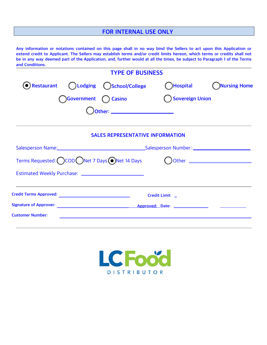## **FOR INTERNAL USE ONLY**

**Any information or notations contained on this page shall in no way bind the Sellers to act upon this Application or extend credit to Applicant. The Sellers may establish terms and/or credit limits hereon, which terms or credits shall not be in any way deemed part of the Application, and, further would at all the times, be subject to Paragraph 1 of the Terms and Conditions.**

|                         |                     | <b>TYPE OF BUSINESS</b>                   |                                                             |                                                                                  |
|-------------------------|---------------------|-------------------------------------------|-------------------------------------------------------------|----------------------------------------------------------------------------------|
|                         |                     | ● Restaurant ● CLodging ● CSchool/College | <b>C</b> Hospital                                           | Nursing Home                                                                     |
|                         | Government C Casino |                                           | ◯ Sovereign Union                                           |                                                                                  |
|                         |                     |                                           |                                                             |                                                                                  |
|                         |                     |                                           |                                                             |                                                                                  |
|                         |                     | <b>SALES REPRESENTATIVE INFORMATION</b>   |                                                             |                                                                                  |
|                         |                     |                                           |                                                             | Salesperson Name: Salesperson Number: Calesperson Number: Calesperson Number:    |
|                         |                     |                                           |                                                             | Terms Requested: CCOD CONet 7 Days ONet 14 Days Cother _________________________ |
|                         |                     |                                           |                                                             |                                                                                  |
|                         |                     |                                           |                                                             |                                                                                  |
|                         |                     |                                           | Credit Limit $=$                                            |                                                                                  |
|                         |                     |                                           |                                                             |                                                                                  |
| <b>Customer Number:</b> |                     |                                           | <u> 1986 - Johann Stoff, amerikansk politiker (d. 1986)</u> |                                                                                  |
|                         |                     |                                           |                                                             |                                                                                  |

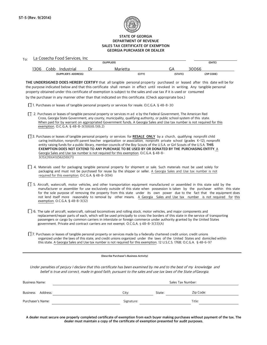

#### **STATE OF GEORGIA DEPARTMENT OF REVENUE SALES TAX CERTIFICATE OF EXEMPTION GEORGIA PURCHASER OR DEALER**

#### To: La Cosecha Food Services, Inc

|      |                      |    | (SUPPLIER) |         | (DATE)     |
|------|----------------------|----|------------|---------|------------|
| 1306 | Cobb<br>Industrial   | Dr | Marietta   | ہت      | 30066      |
|      | (SUPPLIER'S ADDRESS) |    | (CITY)     | (STATE) | (ZIP CODE) |

**THE UNDERSIGNED DOES HEREBY CERTIFY** that all tangible personal property purchased or leased after this date will be for the purpose indicated below and that this certificate shall remain in effect until revoked in writing. Any tangible personal property obtained under this certificate of exemption is subject to the sales and use tax if it is used or consumed by the purchaser in any manner other than that indicated on this certificate. (Check appropriate box.)

[ ] 1. Purchases or leases of tangible personal property or services for resale. O.C.G.A. § 48-8-30

- $\Box$  2. Purchases or leases of tangible personal property or services m ad e by the Federal Government, The American Red Cross, Georgia State Government, any county, municipality, qualifying authority, or public school system of this state. When paid for by warrant on appropriated Government funds. A Georgia Sales and Use tax number is not required for this exemption. O.C.G.A. § 48-8-3(1)(6)(6.1)(6.2)
- [ ] 3. Purchases or leases of tangible personal property or services for **RESALE ONLY** by a church, qualifying nonprofit child caring institution, nonprofit parent teacher organization or association, nonprofit private school (grades K-12), nonprofit entity raising funds for a public library, member councils of the Boy Scouts of the U.S.A. or Girl Scouts of the U.S.A. **THIS EXEMPTION DOES NOT EXTEND TO ANY PURCHASE TO BE USED BY OR DONATED BY THE PURCHASING ENTITY**. A Georgia Sales and Use tax number is not required for this exemption. O.C.G.A. § 48-8- 3(15)(39)(41)(56)(59)(71)
- [ ] 4. Materials used for packaging tangible personal property for shipment or sale. Such materials must be used solely for packaging and must not be purchased for reuse by the shipper or seller. A Georgia Sales and Use tax number is not required for this exemption. O.C.G.A. § 48-8-3(94)
- [1] 5. Aircraft, watercraft, motor vehicles, and other transportation equipment manufactured or assembled in this state sold by the manufacturer or assembler for use exclusively outside of this state when possession is taken by the purchaser within this state for the sole purpose of removing the property from this state under its own power due to the fact that the equipment does not lend itself more reasonably to removal by other means. A Georgia Sales and Use tax number is not required for this exemption. O.C.G.A. § 48-8-3(32)
- replacement/repair parts of each, which will be used principally to cross the borders of this state in the service of transporting passengers or cargo by common carriers in interstate or foreign commerce under authority granted by the United States government. Private and contract carriers are not exempt. O.C.G.A. § 48-8-3(33)(A) [ ] 6. The sale of aircraft, watercraft, railroad locomotives and rolling stock, motor vehicles, and major components and
- $\Box$ 7. Purchases or leases of tangible personal property or services made by a federally chartered credit union, credit unions organized under the laws of this state, and credit unions organized under the laws of the United States and domiciled within this state. A Georgia Sales and Use tax number is not required for this exemption. 12 U.S.C.S. 1768; O.C.G.A. § 48-6-97

**(Describe Purchaser's Business Activity)**

Under penalties of perjury I declare that this certificate has been examined by me and to the best of my knowledge and belief is true and correct, made in good faith, pursuant to the sales and use tax laws of the State ofGeorgia.

| <b>Business Name:</b>       |            | Sales Tax Number: |           |  |
|-----------------------------|------------|-------------------|-----------|--|
| <b>Business</b><br>Address: | City:      | State:            | Zip Code: |  |
| Purchaser's Name:           | Signature: |                   | Title:    |  |

**A dealer must secure one properly completed certificate of exemption from each buyer making purchases without payment of the tax. The dealer must maintain a copy of the certificate of exemption presented for audit purposes.**